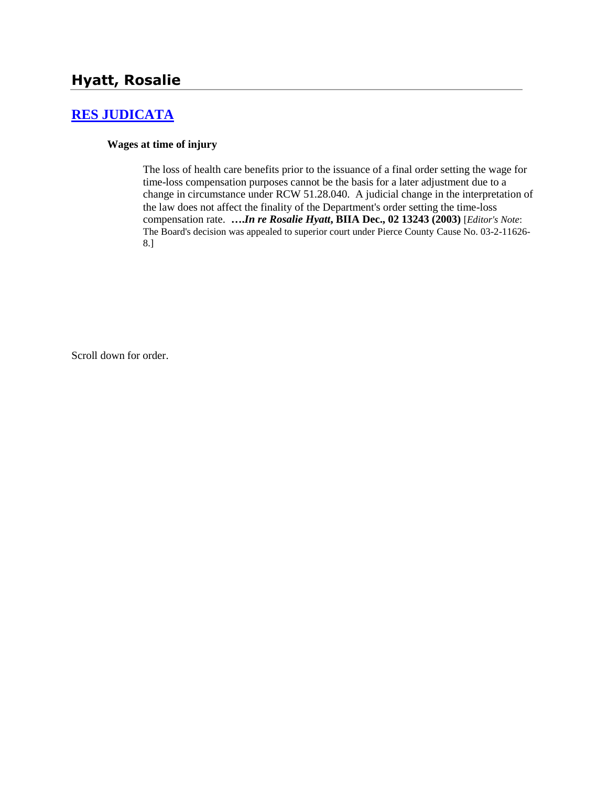# **[RES JUDICATA](http://www.biia.wa.gov/SDSubjectIndex.html#RES_JUDICATA)**

#### **Wages at time of injury**

The loss of health care benefits prior to the issuance of a final order setting the wage for time-loss compensation purposes cannot be the basis for a later adjustment due to a change in circumstance under RCW 51.28.040. A judicial change in the interpretation of the law does not affect the finality of the Department's order setting the time-loss compensation rate. **….***In re Rosalie Hyatt***, BIIA Dec., 02 13243 (2003)** [*Editor's Note*: The Board's decision was appealed to superior court under Pierce County Cause No. 03-2-11626- 8.]

Scroll down for order.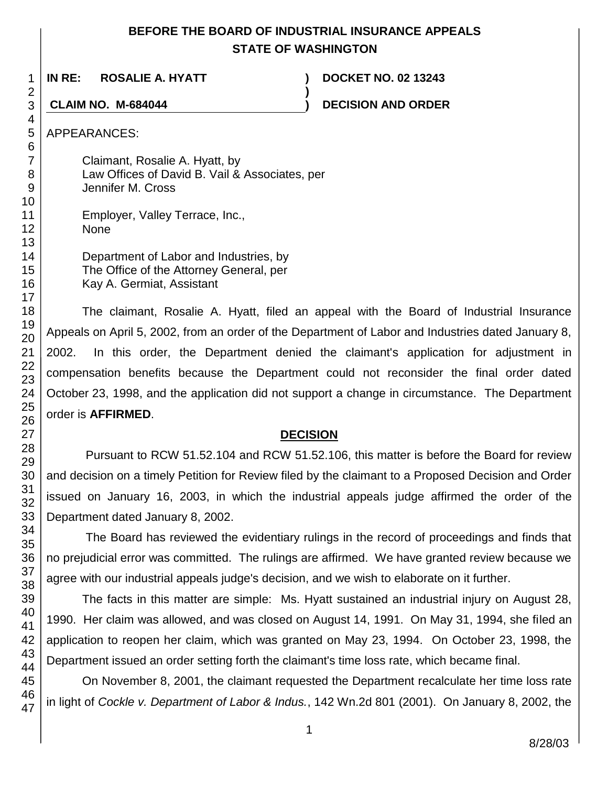# **BEFORE THE BOARD OF INDUSTRIAL INSURANCE APPEALS STATE OF WASHINGTON**

**)**

**IN RE: ROSALIE A. HYATT ) DOCKET NO. 02 13243**

**CLAIM NO. M-684044 ) DECISION AND ORDER**

APPEARANCES:

Claimant, Rosalie A. Hyatt, by Law Offices of David B. Vail & Associates, per Jennifer M. Cross

Employer, Valley Terrace, Inc., None

| Department of Labor and Industries, by  |
|-----------------------------------------|
| The Office of the Attorney General, per |
| Kay A. Germiat, Assistant               |

The claimant, Rosalie A. Hyatt, filed an appeal with the Board of Industrial Insurance Appeals on April 5, 2002, from an order of the Department of Labor and Industries dated January 8, 2002. In this order, the Department denied the claimant's application for adjustment in compensation benefits because the Department could not reconsider the final order dated October 23, 1998, and the application did not support a change in circumstance. The Department order is **AFFIRMED**.

## **DECISION**

Pursuant to RCW 51.52.104 and RCW 51.52.106, this matter is before the Board for review and decision on a timely Petition for Review filed by the claimant to a Proposed Decision and Order issued on January 16, 2003, in which the industrial appeals judge affirmed the order of the Department dated January 8, 2002.

The Board has reviewed the evidentiary rulings in the record of proceedings and finds that no prejudicial error was committed. The rulings are affirmed. We have granted review because we agree with our industrial appeals judge's decision, and we wish to elaborate on it further.

The facts in this matter are simple: Ms. Hyatt sustained an industrial injury on August 28, 1990. Her claim was allowed, and was closed on August 14, 1991. On May 31, 1994, she filed an application to reopen her claim, which was granted on May 23, 1994. On October 23, 1998, the Department issued an order setting forth the claimant's time loss rate, which became final.

On November 8, 2001, the claimant requested the Department recalculate her time loss rate in light of *Cockle v. Department of Labor & Indus.*, 142 Wn.2d 801 (2001). On January 8, 2002, the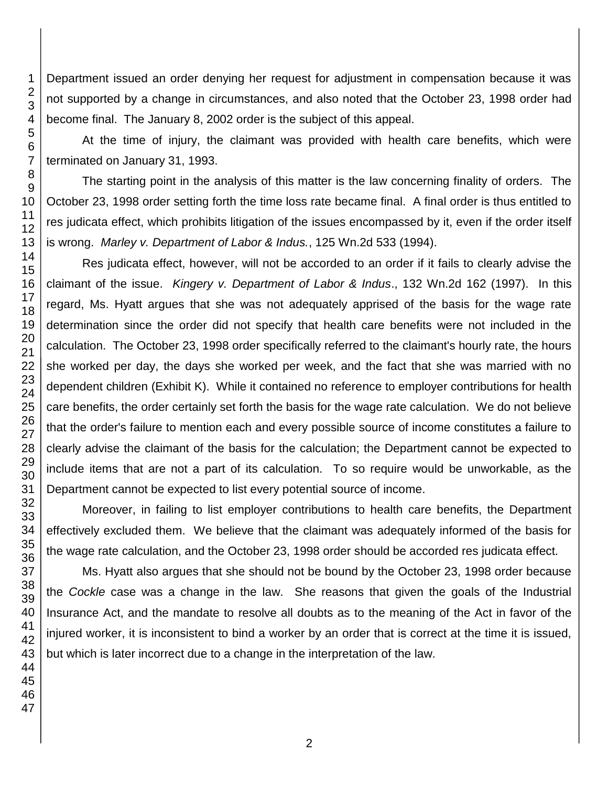Department issued an order denying her request for adjustment in compensation because it was not supported by a change in circumstances, and also noted that the October 23, 1998 order had become final. The January 8, 2002 order is the subject of this appeal.

At the time of injury, the claimant was provided with health care benefits, which were terminated on January 31, 1993.

The starting point in the analysis of this matter is the law concerning finality of orders. The October 23, 1998 order setting forth the time loss rate became final. A final order is thus entitled to res judicata effect, which prohibits litigation of the issues encompassed by it, even if the order itself is wrong. *Marley v. Department of Labor & Indus.*, 125 Wn.2d 533 (1994).

Res judicata effect, however, will not be accorded to an order if it fails to clearly advise the claimant of the issue. *Kingery v. Department of Labor & Indus*., 132 Wn.2d 162 (1997). In this regard, Ms. Hyatt argues that she was not adequately apprised of the basis for the wage rate determination since the order did not specify that health care benefits were not included in the calculation. The October 23, 1998 order specifically referred to the claimant's hourly rate, the hours she worked per day, the days she worked per week, and the fact that she was married with no dependent children (Exhibit K). While it contained no reference to employer contributions for health care benefits, the order certainly set forth the basis for the wage rate calculation. We do not believe that the order's failure to mention each and every possible source of income constitutes a failure to clearly advise the claimant of the basis for the calculation; the Department cannot be expected to include items that are not a part of its calculation. To so require would be unworkable, as the Department cannot be expected to list every potential source of income.

Moreover, in failing to list employer contributions to health care benefits, the Department effectively excluded them. We believe that the claimant was adequately informed of the basis for the wage rate calculation, and the October 23, 1998 order should be accorded res judicata effect.

Ms. Hyatt also argues that she should not be bound by the October 23, 1998 order because the *Cockle* case was a change in the law. She reasons that given the goals of the Industrial Insurance Act, and the mandate to resolve all doubts as to the meaning of the Act in favor of the injured worker, it is inconsistent to bind a worker by an order that is correct at the time it is issued, but which is later incorrect due to a change in the interpretation of the law.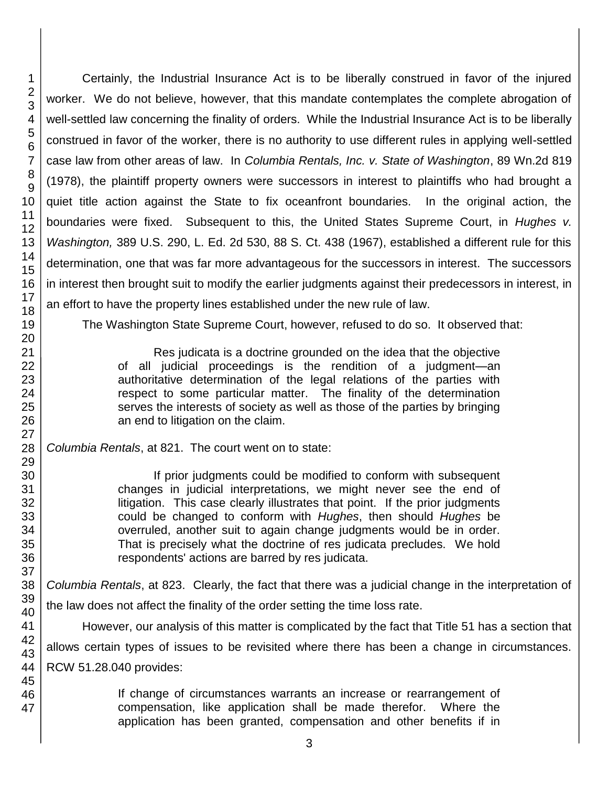Certainly, the Industrial Insurance Act is to be liberally construed in favor of the injured worker. We do not believe, however, that this mandate contemplates the complete abrogation of well-settled law concerning the finality of orders. While the Industrial Insurance Act is to be liberally construed in favor of the worker, there is no authority to use different rules in applying well-settled case law from other areas of law. In *Columbia Rentals, Inc. v. State of Washington*, 89 Wn.2d 819 (1978), the plaintiff property owners were successors in interest to plaintiffs who had brought a quiet title action against the State to fix oceanfront boundaries. In the original action, the boundaries were fixed. Subsequent to this, the United States Supreme Court, in *Hughes v. Washington,* 389 U.S. 290, L. Ed. 2d 530, 88 S. Ct. 438 (1967), established a different rule for this determination, one that was far more advantageous for the successors in interest. The successors in interest then brought suit to modify the earlier judgments against their predecessors in interest, in an effort to have the property lines established under the new rule of law.

The Washington State Supreme Court, however, refused to do so. It observed that:

Res judicata is a doctrine grounded on the idea that the objective of all judicial proceedings is the rendition of a judgment—an authoritative determination of the legal relations of the parties with respect to some particular matter. The finality of the determination serves the interests of society as well as those of the parties by bringing an end to litigation on the claim.

*Columbia Rentals*, at 821. The court went on to state:

If prior judgments could be modified to conform with subsequent changes in judicial interpretations, we might never see the end of litigation. This case clearly illustrates that point. If the prior judgments could be changed to conform with *Hughes*, then should *Hughes* be overruled, another suit to again change judgments would be in order. That is precisely what the doctrine of res judicata precludes. We hold respondents' actions are barred by res judicata.

*Columbia Rentals*, at 823. Clearly, the fact that there was a judicial change in the interpretation of the law does not affect the finality of the order setting the time loss rate.

However, our analysis of this matter is complicated by the fact that Title 51 has a section that

allows certain types of issues to be revisited where there has been a change in circumstances. RCW 51.28.040 provides:

> If change of circumstances warrants an increase or rearrangement of compensation, like application shall be made therefor. Where the application has been granted, compensation and other benefits if in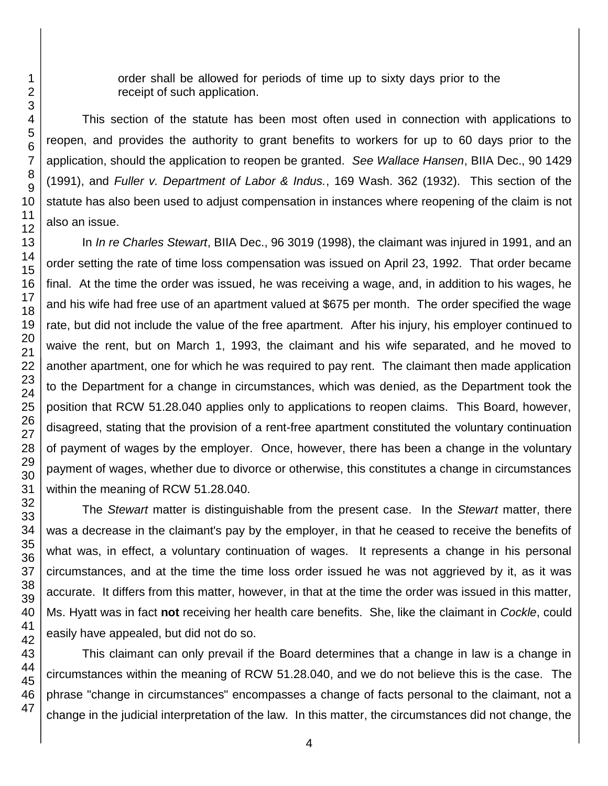order shall be allowed for periods of time up to sixty days prior to the receipt of such application.

This section of the statute has been most often used in connection with applications to reopen, and provides the authority to grant benefits to workers for up to 60 days prior to the application, should the application to reopen be granted. *See Wallace Hansen*, BIIA Dec., 90 1429 (1991), and *Fuller v. Department of Labor & Indus.*, 169 Wash. 362 (1932). This section of the statute has also been used to adjust compensation in instances where reopening of the claim is not also an issue.

In *In re Charles Stewart*, BIIA Dec., 96 3019 (1998), the claimant was injured in 1991, and an order setting the rate of time loss compensation was issued on April 23, 1992. That order became final. At the time the order was issued, he was receiving a wage, and, in addition to his wages, he and his wife had free use of an apartment valued at \$675 per month. The order specified the wage rate, but did not include the value of the free apartment. After his injury, his employer continued to waive the rent, but on March 1, 1993, the claimant and his wife separated, and he moved to another apartment, one for which he was required to pay rent. The claimant then made application to the Department for a change in circumstances, which was denied, as the Department took the position that RCW 51.28.040 applies only to applications to reopen claims. This Board, however, disagreed, stating that the provision of a rent-free apartment constituted the voluntary continuation of payment of wages by the employer. Once, however, there has been a change in the voluntary payment of wages, whether due to divorce or otherwise, this constitutes a change in circumstances within the meaning of RCW 51.28.040.

The *Stewart* matter is distinguishable from the present case. In the *Stewart* matter, there was a decrease in the claimant's pay by the employer, in that he ceased to receive the benefits of what was, in effect, a voluntary continuation of wages. It represents a change in his personal circumstances, and at the time the time loss order issued he was not aggrieved by it, as it was accurate. It differs from this matter, however, in that at the time the order was issued in this matter, Ms. Hyatt was in fact **not** receiving her health care benefits. She, like the claimant in *Cockle*, could easily have appealed, but did not do so.

This claimant can only prevail if the Board determines that a change in law is a change in circumstances within the meaning of RCW 51.28.040, and we do not believe this is the case. The phrase "change in circumstances" encompasses a change of facts personal to the claimant, not a change in the judicial interpretation of the law. In this matter, the circumstances did not change, the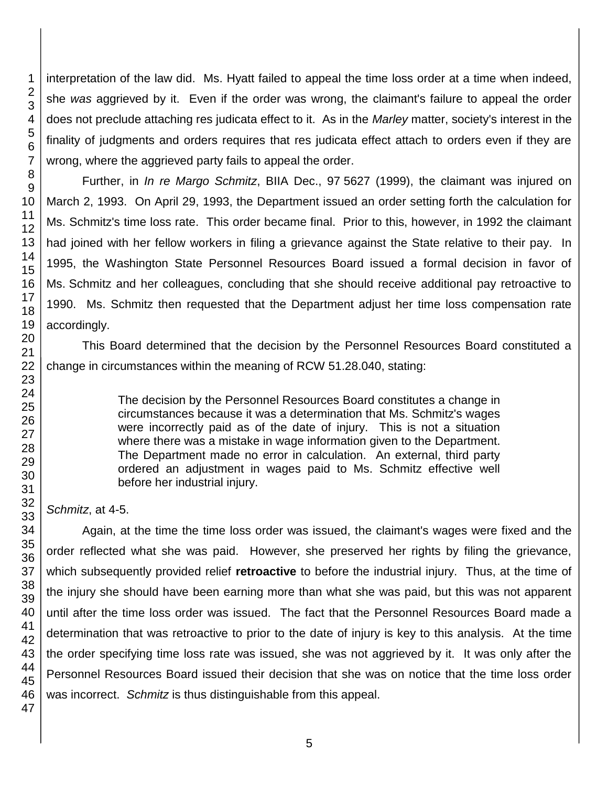interpretation of the law did. Ms. Hyatt failed to appeal the time loss order at a time when indeed, she *was* aggrieved by it. Even if the order was wrong, the claimant's failure to appeal the order does not preclude attaching res judicata effect to it. As in the *Marley* matter, society's interest in the finality of judgments and orders requires that res judicata effect attach to orders even if they are wrong, where the aggrieved party fails to appeal the order.

Further, in *In re Margo Schmitz*, BIIA Dec., 97 5627 (1999), the claimant was injured on March 2, 1993. On April 29, 1993, the Department issued an order setting forth the calculation for Ms. Schmitz's time loss rate. This order became final. Prior to this, however, in 1992 the claimant had joined with her fellow workers in filing a grievance against the State relative to their pay. In 1995, the Washington State Personnel Resources Board issued a formal decision in favor of Ms. Schmitz and her colleagues, concluding that she should receive additional pay retroactive to 1990. Ms. Schmitz then requested that the Department adjust her time loss compensation rate accordingly.

This Board determined that the decision by the Personnel Resources Board constituted a change in circumstances within the meaning of RCW 51.28.040, stating:

> The decision by the Personnel Resources Board constitutes a change in circumstances because it was a determination that Ms. Schmitz's wages were incorrectly paid as of the date of injury. This is not a situation where there was a mistake in wage information given to the Department. The Department made no error in calculation. An external, third party ordered an adjustment in wages paid to Ms. Schmitz effective well before her industrial injury.

## *Schmitz*, at 4-5.

Again, at the time the time loss order was issued, the claimant's wages were fixed and the order reflected what she was paid. However, she preserved her rights by filing the grievance, which subsequently provided relief **retroactive** to before the industrial injury. Thus, at the time of the injury she should have been earning more than what she was paid, but this was not apparent until after the time loss order was issued. The fact that the Personnel Resources Board made a determination that was retroactive to prior to the date of injury is key to this analysis. At the time the order specifying time loss rate was issued, she was not aggrieved by it. It was only after the Personnel Resources Board issued their decision that she was on notice that the time loss order was incorrect. *Schmitz* is thus distinguishable from this appeal.

1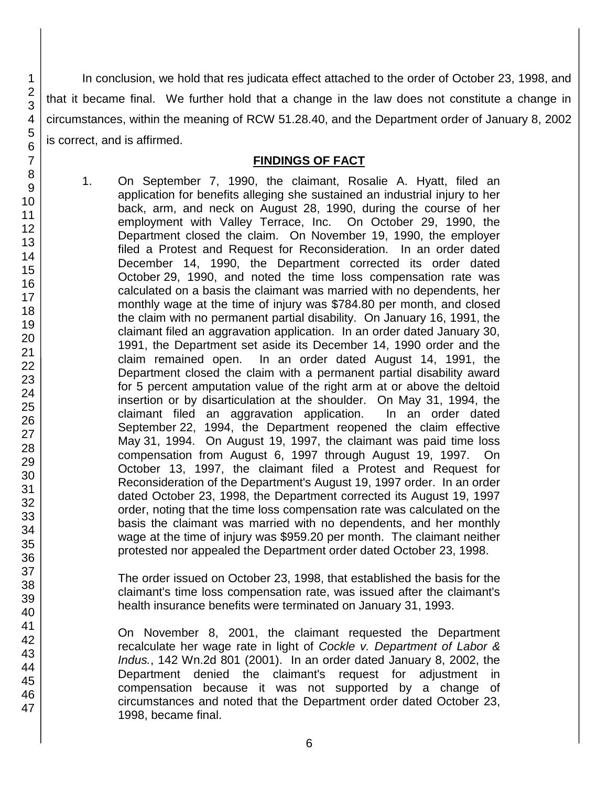In conclusion, we hold that res judicata effect attached to the order of October 23, 1998, and that it became final. We further hold that a change in the law does not constitute a change in circumstances, within the meaning of RCW 51.28.40, and the Department order of January 8, 2002 is correct, and is affirmed.

#### **FINDINGS OF FACT**

1. On September 7, 1990, the claimant, Rosalie A. Hyatt, filed an application for benefits alleging she sustained an industrial injury to her back, arm, and neck on August 28, 1990, during the course of her employment with Valley Terrace, Inc. On October 29, 1990, the Department closed the claim. On November 19, 1990, the employer filed a Protest and Request for Reconsideration. In an order dated December 14, 1990, the Department corrected its order dated October 29, 1990, and noted the time loss compensation rate was calculated on a basis the claimant was married with no dependents, her monthly wage at the time of injury was \$784.80 per month, and closed the claim with no permanent partial disability. On January 16, 1991, the claimant filed an aggravation application. In an order dated January 30, 1991, the Department set aside its December 14, 1990 order and the claim remained open. In an order dated August 14, 1991, the Department closed the claim with a permanent partial disability award for 5 percent amputation value of the right arm at or above the deltoid insertion or by disarticulation at the shoulder. On May 31, 1994, the claimant filed an aggravation application. In an order dated September 22, 1994, the Department reopened the claim effective May 31, 1994. On August 19, 1997, the claimant was paid time loss compensation from August 6, 1997 through August 19, 1997. On October 13, 1997, the claimant filed a Protest and Request for Reconsideration of the Department's August 19, 1997 order. In an order dated October 23, 1998, the Department corrected its August 19, 1997 order, noting that the time loss compensation rate was calculated on the basis the claimant was married with no dependents, and her monthly wage at the time of injury was \$959.20 per month. The claimant neither protested nor appealed the Department order dated October 23, 1998.

The order issued on October 23, 1998, that established the basis for the claimant's time loss compensation rate, was issued after the claimant's health insurance benefits were terminated on January 31, 1993.

On November 8, 2001, the claimant requested the Department recalculate her wage rate in light of *Cockle v. Department of Labor & Indus.*, 142 Wn.2d 801 (2001). In an order dated January 8, 2002, the Department denied the claimant's request for adjustment in compensation because it was not supported by a change of circumstances and noted that the Department order dated October 23, 1998, became final.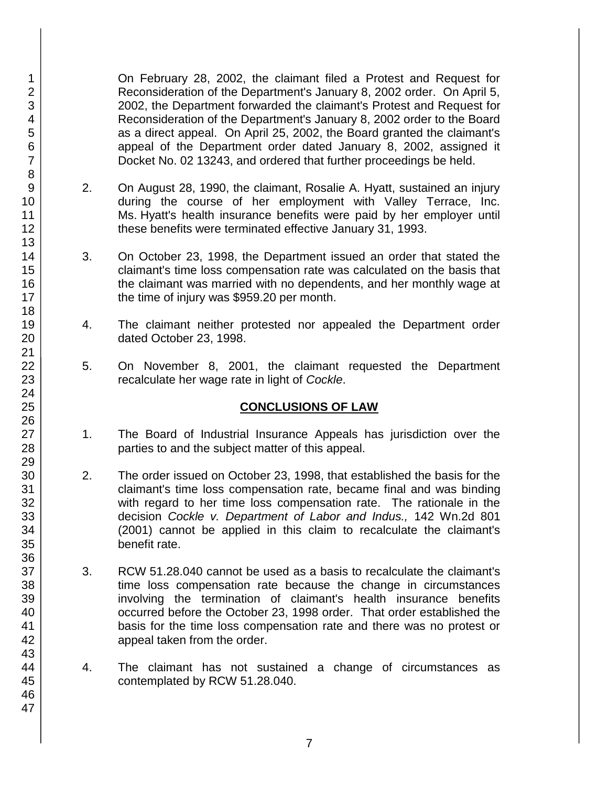On February 28, 2002, the claimant filed a Protest and Request for Reconsideration of the Department's January 8, 2002 order. On April 5, 2002, the Department forwarded the claimant's Protest and Request for Reconsideration of the Department's January 8, 2002 order to the Board as a direct appeal. On April 25, 2002, the Board granted the claimant's appeal of the Department order dated January 8, 2002, assigned it Docket No. 02 13243, and ordered that further proceedings be held.

- 2. On August 28, 1990, the claimant, Rosalie A. Hyatt, sustained an injury during the course of her employment with Valley Terrace, Inc. Ms. Hyatt's health insurance benefits were paid by her employer until these benefits were terminated effective January 31, 1993.
- 3. On October 23, 1998, the Department issued an order that stated the claimant's time loss compensation rate was calculated on the basis that the claimant was married with no dependents, and her monthly wage at the time of injury was \$959.20 per month.
- 4. The claimant neither protested nor appealed the Department order dated October 23, 1998.
- 5. On November 8, 2001, the claimant requested the Department recalculate her wage rate in light of *Cockle*.

## **CONCLUSIONS OF LAW**

- 1. The Board of Industrial Insurance Appeals has jurisdiction over the parties to and the subject matter of this appeal.
- 2. The order issued on October 23, 1998, that established the basis for the claimant's time loss compensation rate, became final and was binding with regard to her time loss compensation rate. The rationale in the decision *Cockle v. Department of Labor and Indus.,* 142 Wn.2d 801 (2001) cannot be applied in this claim to recalculate the claimant's benefit rate.
- 3. RCW 51.28.040 cannot be used as a basis to recalculate the claimant's time loss compensation rate because the change in circumstances involving the termination of claimant's health insurance benefits occurred before the October 23, 1998 order. That order established the basis for the time loss compensation rate and there was no protest or appeal taken from the order.
- 4. The claimant has not sustained a change of circumstances as contemplated by RCW 51.28.040.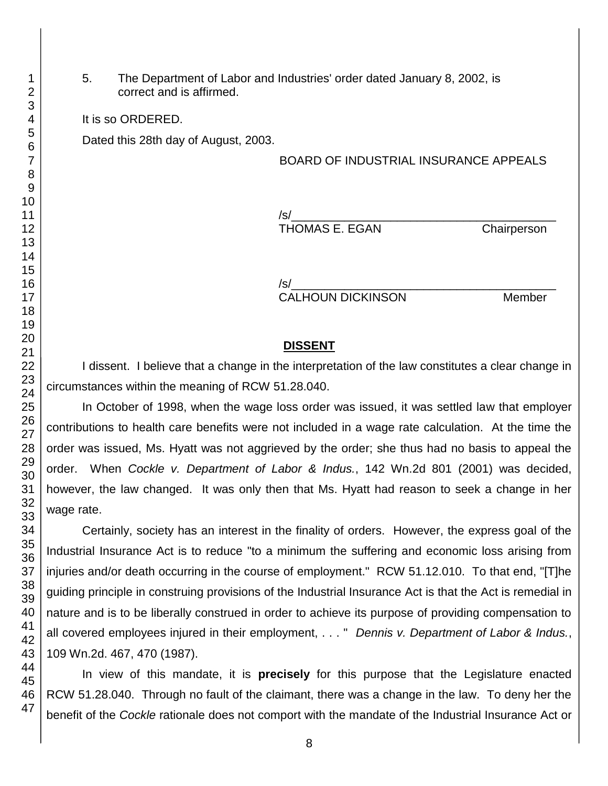5. The Department of Labor and Industries' order dated January 8, 2002, is correct and is affirmed.

It is so ORDERED.

Dated this 28th day of August, 2003.

BOARD OF INDUSTRIAL INSURANCE APPEALS

/s/\_\_\_\_\_\_\_\_\_\_\_\_\_\_\_\_\_\_\_\_\_\_\_\_\_\_\_\_\_\_\_\_\_\_\_\_\_\_\_\_ THOMAS E. EGAN Chairperson

/s/\_\_\_\_\_\_\_\_\_\_\_\_\_\_\_\_\_\_\_\_\_\_\_\_\_\_\_\_\_\_\_\_\_\_\_\_\_\_\_\_ CALHOUN DICKINSON Member

#### **DISSENT**

I dissent. I believe that a change in the interpretation of the law constitutes a clear change in circumstances within the meaning of RCW 51.28.040.

In October of 1998, when the wage loss order was issued, it was settled law that employer contributions to health care benefits were not included in a wage rate calculation. At the time the order was issued, Ms. Hyatt was not aggrieved by the order; she thus had no basis to appeal the order. When *Cockle v. Department of Labor & Indus.*, 142 Wn.2d 801 (2001) was decided, however, the law changed. It was only then that Ms. Hyatt had reason to seek a change in her wage rate.

Certainly, society has an interest in the finality of orders. However, the express goal of the Industrial Insurance Act is to reduce "to a minimum the suffering and economic loss arising from injuries and/or death occurring in the course of employment." RCW 51.12.010. To that end, "[T]he guiding principle in construing provisions of the Industrial Insurance Act is that the Act is remedial in nature and is to be liberally construed in order to achieve its purpose of providing compensation to all covered employees injured in their employment, . . . " *Dennis v. Department of Labor & Indus.*, 109 Wn.2d. 467, 470 (1987).

In view of this mandate, it is **precisely** for this purpose that the Legislature enacted RCW 51.28.040. Through no fault of the claimant, there was a change in the law. To deny her the benefit of the *Cockle* rationale does not comport with the mandate of the Industrial Insurance Act or